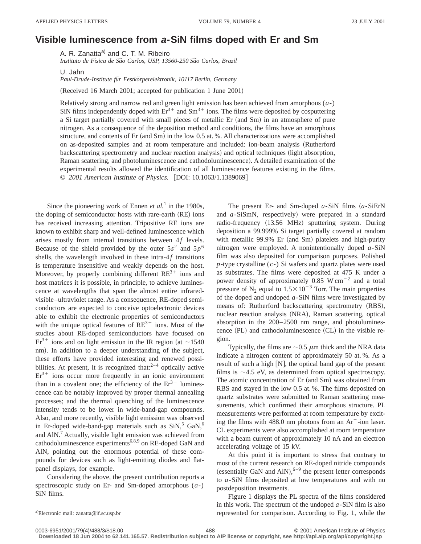## **Visible luminescence from <sup>a</sup>-SiN films doped with Er and Sm**

A. R. Zanatta<sup>a)</sup> and C. T. M. Ribeiro *Instituto de Fı´sica de Sa˜o Carlos, USP, 13560-250 Sa˜o Carlos, Brazil*

U. Jahn

*Paul-Drude-Institute fu¨r Festko¨rperelektronik, 10117 Berlin, Germany*

(Received 16 March 2001; accepted for publication 1 June 2001)

Relatively strong and narrow red and green light emission has been achieved from amorphous (*a*-) SiN films independently doped with  $Er^{3+}$  and  $Sm^{3+}$  ions. The films were deposited by cosputtering a Si target partially covered with small pieces of metallic Er (and Sm) in an atmosphere of pure nitrogen. As a consequence of the deposition method and conditions, the films have an amorphous structure, and contents of Er  $($ and Sm $)$  in the low 0.5 at. %. All characterizations were accomplished on as-deposited samples and at room temperature and included: ion-beam analysis (Rutherford backscattering spectrometry and nuclear reaction analysis) and optical techniques (light absorption, Raman scattering, and photoluminescence and cathodoluminescence). A detailed examination of the experimental results allowed the identification of all luminescence features existing in the films. © *2001 American Institute of Physics.* [DOI: 10.1063/1.1389069]

Since the pioneering work of Ennen *et al.*<sup>1</sup> in the 1980s, the doping of semiconductor hosts with rare-earth (RE) ions has received increasing attention. Tripositive RE ions are known to exhibit sharp and well-defined luminescence which arises mostly from internal transitions between 4f levels. Because of the shield provided by the outer  $5s^2$  and  $5p^6$ shells, the wavelength involved in these intra- $4f$  transitions is temperature insensitive and weakly depends on the host. Moreover, by properly combining different  $RE<sup>3+</sup>$  ions and host matrices it is possible, in principle, to achieve luminescence at wavelengths that span the almost entire infraredvisible–ultraviolet range. As a consequence, RE-doped semiconductors are expected to conceive optoelectronic devices able to exhibit the electronic properties of semiconductors with the unique optical features of  $RE^{3+}$  ions. Most of the studies about RE-doped semiconductors have focused on  $Er<sup>3+</sup>$  ions and on light emission in the IR region (at ~1540) nm). In addition to a deeper understanding of the subject, these efforts have provided interesting and renewed possibilities. At present, it is recognized that: $2^{-4}$  optically active  $Er<sup>3+</sup>$  ions occur more frequently in an ionic environment than in a covalent one; the efficiency of the  $Er^{3+}$  luminescence can be notably improved by proper thermal annealing processes; and the thermal quenching of the luminescence intensity tends to be lower in wide-band-gap compounds. Also, and more recently, visible light emission was observed in Er-doped wide-band-gap materials such as  $\text{SiN},^5 \text{ GaN},^6$ and AlN.7 Actually, visible light emission was achieved from cathodoluminescence experiments<sup>6,8,9</sup> on RE-doped GaN and AlN, pointing out the enormous potential of these compounds for devices such as light-emitting diodes and flatpanel displays, for example.

Considering the above, the present contribution reports a spectroscopic study on Er- and Sm-doped amorphous (*a*-) SiN films.

The present Er- and Sm-doped  $a$ -SiN films  $(a - Si)$ ErN and *a*-SiSmN, respectively) were prepared in a standard radio-frequency (13.56 MHz) sputtering system. During deposition a 99.999% Si target partially covered at random with metallic  $99.9\%$  Er (and Sm) platelets and high-purity nitrogen were employed. A nonintentionally doped *a*-SiN film was also deposited for comparison purposes. Polished *p*-type crystalline (*c*-) Si wafers and quartz plates were used as substrates. The films were deposited at 475 K under a power density of approximately  $0.85 \text{ W cm}^{-2}$  and a total pressure of  $N_2$  equal to  $1.5 \times 10^{-3}$  Torr. The main properties of the doped and undoped *a*-SiN films were investigated by means of: Rutherford backscattering spectrometry (RBS), nuclear reaction analysis (NRA), Raman scattering, optical absorption in the 200–2500 nm range, and photoluminescence  $(PL)$  and cathodoluminescence  $(CL)$  in the visible region.

Typically, the films are  $\sim$  0.5  $\mu$ m thick and the NRA data indicate a nitrogen content of approximately 50 at. %. As a result of such a high  $[N]$ , the optical band gap of the present films is  $\sim$ 4.5 eV, as determined from optical spectroscopy. The atomic concentration of Er (and Sm) was obtained from RBS and stayed in the low 0.5 at. %. The films deposited on quartz substrates were submitted to Raman scattering measurements, which confirmed their amorphous structure. PL measurements were performed at room temperature by exciting the films with  $488.0$  nm photons from an  $Ar^+$ -ion laser. CL experiments were also accomplished at room temperature with a beam current of approximately 10 nA and an electron accelerating voltage of 15 kV.

At this point it is important to stress that contrary to most of the current research on RE-doped nitride compounds (essentially GaN and AlN), $6-9$  the present letter corresponds to *a*-SiN films deposited at low temperatures and with no postdeposition treatments.

Figure 1 displays the PL spectra of the films considered in this work. The spectrum of the undoped *a*-SiN film is also represented for comparison. According to Fig. 1, while the

**Downloaded 18 Jun 2004 to 62.141.165.57. Redistribution subject to AIP license or copyright, see http://apl.aip.org/apl/copyright.jsp**

a)Electronic mail: zanatta@if.sc.usp.br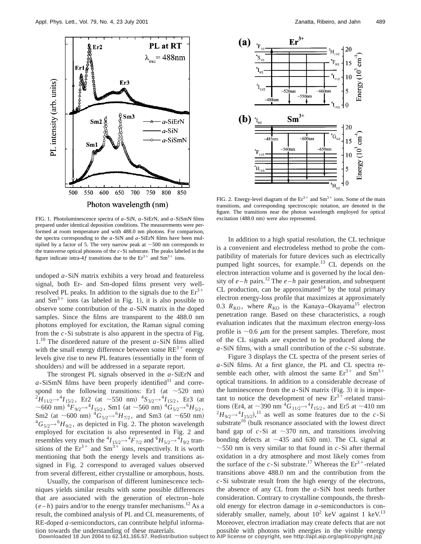

FIG. 1. Photoluminescence spectra of *a*-SiN, *a*-SiErN, and *a*-SiSmN films prepared under identical deposition conditions. The measurements were performed at room temperature and with 488.0 nm photons. For comparison, the spectra corresponding to the *a*-SiN and *a*-SiErN films have been multiplied by a factor of 5. The very narrow peak at  $\sim$  500 nm corresponds to the transverse optical phonons of the *c*-Si substrate. The peaks labeled in the figure indicate intra-4 $f$  transitions due to the  $Er^{3+}$  and  $Sm^{3+}$  ions.

undoped *a*-SiN matrix exhibits a very broad and featureless signal, both Er- and Sm-doped films present very wellresolved PL peaks. In addition to the signals due to the  $Er<sup>3+</sup>$ and  $\text{Sm}^{3+}$  ions (as labeled in Fig. 1), it is also possible to observe some contribution of the *a*-SiN matrix in the doped samples. Since the films are transparent to the 488.0 nm photons employed for excitation, the Raman signal coming from the *c*-Si substrate is also apparent in the spectra of Fig. 1.10 The disordered nature of the present *a*-SiN films allied with the small energy difference between some  $RE^{3+}$  energy levels give rise to new PL features (essentially in the form of shoulders) and will be addressed in a separate report.

The strongest PL signals observed in the *a*-SiErN and  $a$ -SiSmN films have been properly identified<sup>11</sup> and correspond to the following transitions: Er1 (at  $\sim$  520 nm)  $^{2}H_{11/2}$  →  $^{4}I_{15/2}$ , Er<sub>2</sub> (at ~550 nm)  $^{4}S_{3/2}$  →  $^{4}I_{15/2}$ , Er3 (at ~660 nm)  ${}^4F_{9/2}$   $\rightarrow {}^4I_{15/2}$ , Sm1 (at ~560 nm)  ${}^4G_{5/2}$   $\rightarrow {}^6H_{5/2}$ , Sm2 (at  $\sim$  600 nm)  ${}^4G_{5/2}$   $\rightarrow$   ${}^6H_{7/2}$ , and Sm3 (at  $\sim$  650 nm)  ${}^4G_{5/2}$   $\rightarrow$   ${}^6H_{9/2}$ , as depicted in Fig. 2. The photon wavelength employed for excitation is also represented in Fig. 2 and resembles very much the  ${}^4I_{15/2} \rightarrow {}^4F_{7/2}$  and  ${}^6H_{5/2} \rightarrow {}^4I_{9/2}$  transitions of the  $Er^{3+}$  and  $Sm^{3+}$  ions, respectively. It is worth mentioning that both the energy levels and transitions assigned in Fig. 2 correspond to averaged values observed from several different, either crystalline or amorphous, hosts.

Usually, the comparison of different luminescence techniques yields similar results with some possible differences that are associated with the generation of electron–hole  $(e-h)$  pairs and/or to the energy transfer mechanisms.<sup>12</sup> As a result, the combined analysis of PL and CL measurements, of RE-doped *a*-semiconductors, can contribute helpful informa-



FIG. 2. Energy-level diagram of the  $Er^{3+}$  and  $Sm^{3+}$  ions. Some of the main transitions, and corresponding spectroscopic notation, are denoted in the figure. The transitions near the photon wavelength employed for optical excitation (488.0 nm) were also represented.

In addition to a high spatial resolution, the CL technique is a convenient and electrodeless method to probe the compatibility of materials for future devices such as electrically pumped light sources, for example.<sup>13</sup> CL depends on the electron interaction volume and is governed by the local density of  $e-h$  pairs.<sup>12</sup> The  $e-h$  pair generation, and subsequent CL production, can be approximated<sup>14</sup> by the total primary electron energy-loss profile that maximizes at approximately 0.3  $R_{\text{KO}}$ , where  $R_{\text{KO}}$  is the Kanaya–Okayama<sup>15</sup> electron penetration range. Based on these characteristics, a rough evaluation indicates that the maximum electron energy-loss profile is  $\sim 0.6$   $\mu$ m for the present samples. Therefore, most of the CL signals are expected to be produced along the *a*-SiN films, with a small contribution of the *c*-Si substrate.

Figure 3 displays the CL spectra of the present series of *a*-SiN films. At a first glance, the PL and CL spectra resemble each other, with almost the same  $Er^{3+}$  and  $Sm^{3+}$ optical transitions. In addition to a considerable decrease of the luminescence from the  $a$ -SiN matrix (Fig. 3) it is important to notice the development of new  $Er^{3+}$ -related transitions (Er4, at  $\sim$ 390 nm  ${}^4G_{11/2}$  $\rightarrow$  ${}^4I_{15/2}$ , and Er5 at  $\sim$ 410 nm  $^{2}H_{9/2} \rightarrow ^{4}I_{15/2}$ ,<sup>11</sup> as well as some features due to the *c*-Si substrate<sup>16</sup> (bulk resonance associated with the lowest direct band gap of  $c$ -Si at  $\sim$ 370 nm, and transitions involving bonding defects at  $\sim$ 435 and 630 nm). The CL signal at  $\sim$  550 nm is very similar to that found in *c*-Si after thermal oxidation in a dry atmosphere and most likely comes from the surface of the *c*-Si substrate.<sup>17</sup> Whereas the  $Er^{3+}$ -related transitions above 488.0 nm and the contribution from the *c*-Si substrate result from the high energy of the electrons, the absence of any CL from the *a*-SiN host needs further consideration. Contrary to crystalline compounds, the threshold energy for electron damage in *a*-semiconductors is considerably smaller, namely, about  $10^2$  keV against 1 keV.<sup>13</sup> Moreover, electron irradiation may create defects that are not

tion towards the understanding of these materials.<br>Downloaded 18 Jun 2004 to 62.141.165.57. Redistribution subject to AIP license or copyright, see http://apl.aip.org/apl/copyright.jsp